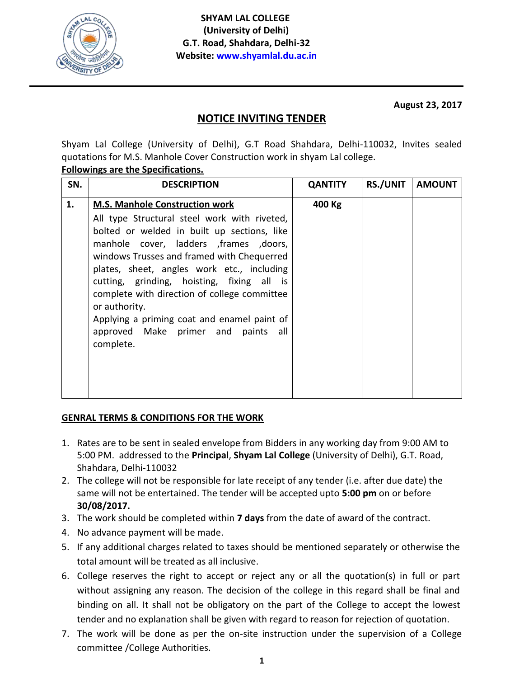

**August 23, 2017**

## **NOTICE INVITING TENDER**

Shyam Lal College (University of Delhi), G.T Road Shahdara, Delhi-110032, Invites sealed quotations for M.S. Manhole Cover Construction work in shyam Lal college.

## **Followings are the Specifications.**

| SN. | <b>DESCRIPTION</b>                                                                                                                                                                                                                                                                                                                                                                                                                                                                             | <b>QANTITY</b> | RS./UNIT   AMOUNT |
|-----|------------------------------------------------------------------------------------------------------------------------------------------------------------------------------------------------------------------------------------------------------------------------------------------------------------------------------------------------------------------------------------------------------------------------------------------------------------------------------------------------|----------------|-------------------|
| 1.  | <b>M.S. Manhole Construction work</b><br>All type Structural steel work with riveted,<br>bolted or welded in built up sections, like<br>manhole cover, ladders , frames , doors,<br>windows Trusses and framed with Chequerred<br>plates, sheet, angles work etc., including<br>cutting, grinding, hoisting, fixing all is<br>complete with direction of college committee<br>or authority.<br>Applying a priming coat and enamel paint of<br>approved Make primer and paints all<br>complete. | 400 Kg         |                   |

## **GENRAL TERMS & CONDITIONS FOR THE WORK**

- 1. Rates are to be sent in sealed envelope from Bidders in any working day from 9:00 AM to 5:00 PM. addressed to the **Principal**, **Shyam Lal College** (University of Delhi), G.T. Road, Shahdara, Delhi-110032
- 2. The college will not be responsible for late receipt of any tender (i.e. after due date) the same will not be entertained. The tender will be accepted upto **5:00 pm** on or before **30/08/2017.**
- 3. The work should be completed within **7 days** from the date of award of the contract.
- 4. No advance payment will be made.
- 5. If any additional charges related to taxes should be mentioned separately or otherwise the total amount will be treated as all inclusive.
- 6. College reserves the right to accept or reject any or all the quotation(s) in full or part without assigning any reason. The decision of the college in this regard shall be final and binding on all. It shall not be obligatory on the part of the College to accept the lowest tender and no explanation shall be given with regard to reason for rejection of quotation.
- 7. The work will be done as per the on-site instruction under the supervision of a College committee /College Authorities.